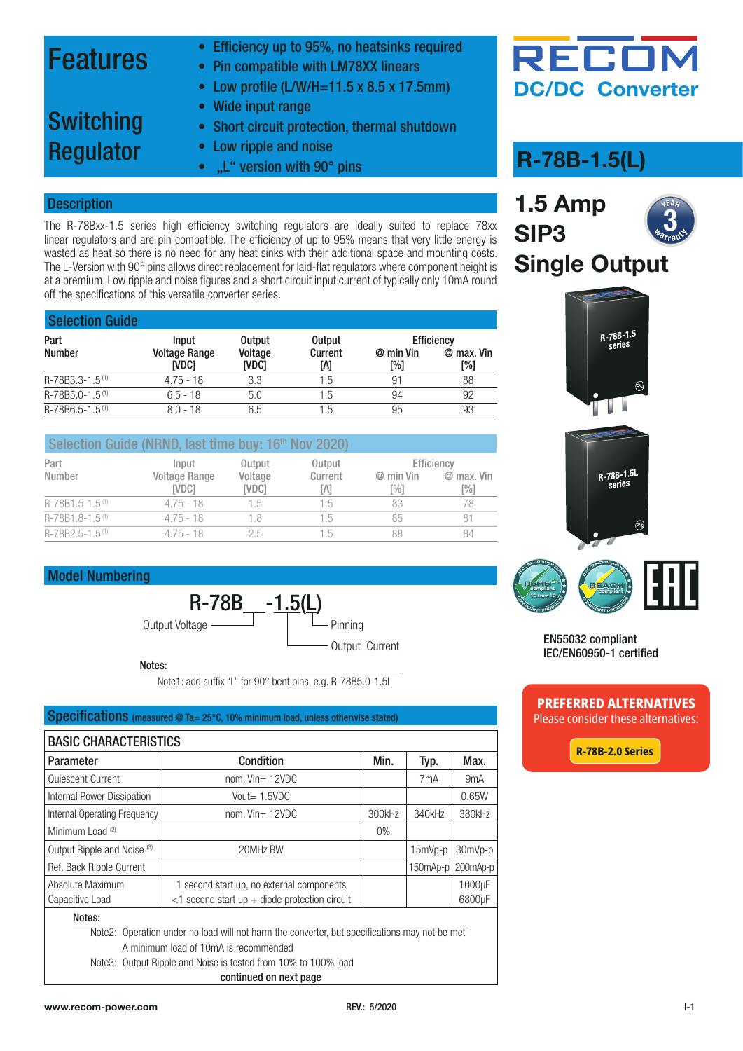### Features

- Efficiency up to 95%, no heatsinks required
- Pin compatible with LM78XX linears
- Low profile (L/W/H=11.5 x 8.5 x 17.5mm)

### Switching Regulator

- Short circuit protection, thermal shutdown
- Low ripple and noise

• Wide input range

•  $\mu$ <sup>"</sup> version with 90 $\degree$  pins

#### **Description**

The R-78Bxx-1.5 series high efficiency switching regulators are ideally suited to replace 78xx linear regulators and are pin compatible. The efficiency of up to 95% means that very little energy is wasted as heat so there is no need for any heat sinks with their additional space and mounting costs. The L-Version with 90° pins allows direct replacement for laid-flat regulators where component height is at a premium. Low ripple and noise figures and a short circuit input current of typically only 10mA round off the specifications of this versatile converter series.

| <b>Selection Guide</b>      |                               |                  |                |                  |                   |
|-----------------------------|-------------------------------|------------------|----------------|------------------|-------------------|
| Part                        | <b>Input</b>                  | <b>Output</b>    | <b>Output</b>  |                  | Efficiency        |
| <b>Number</b>               | <b>Voltage Range</b><br>[VDC] | Voltage<br>[VDC] | Current<br>[A] | @ min Vin<br>[%] | @ max. Vin<br>[%] |
| R-78B3.3-1.5 <sup>(1)</sup> | $4.75 - 18$                   | 3.3              | 1.5            | 91               | 88                |
| R-78B5.0-1.5 <sup>(1)</sup> | $6.5 - 18$                    | 5.0              | 1.5            | 94               | 92                |
| R-78B6.5-1.5 <sup>(1)</sup> | $8.0 - 18$                    | 6.5              | 1.5            | 95               | 93                |

|                             | Selection Guide (NRND, last time buy: 16th Nov 2020) |                  |                |                    |                   |
|-----------------------------|------------------------------------------------------|------------------|----------------|--------------------|-------------------|
| Part                        | <i>Input</i>                                         | Output           | Output         |                    | Efficiency        |
| Number                      | <b>Voltage Range</b><br><b>IVDC1</b>                 | Voltage<br>[VDC] | Current<br>[A] | $@$ min Vin<br>[%] | @ max. Vin<br>[%] |
| $R-78B1.5-1.5(1)$           | $4.75 - 18$                                          | 1.5              | 1.5            | 83                 | 78                |
| R-78B1.8-1.5 <sup>(1)</sup> | $4.75 - 18$                                          | 18               | 1.5            | 85                 | 81                |
| R-78B2.5-1.5 <sup>(1)</sup> | $4.75 - 18$                                          | 25               | 1.5            | 88                 | 84                |

#### Model Numbering



Notes:

Note1: add suffix "L" for 90° bent pins, e.g. R-78B5.0-1.5L

#### Specifications (measured @ Ta= 25°C, 10% minimum load, unless otherwise stated)

| <b>BASIC CHARACTERISTICS</b>                                                                  |                                                  |        |                  |                  |  |  |  |
|-----------------------------------------------------------------------------------------------|--------------------------------------------------|--------|------------------|------------------|--|--|--|
| Parameter                                                                                     | Condition                                        | Min.   | Typ.             | Max.             |  |  |  |
| Quiescent Current                                                                             | nom. $Vin = 12VDC$                               |        | 7 <sub>m</sub> A | 9 <sub>m</sub> A |  |  |  |
| Internal Power Dissipation                                                                    | Vout $= 1.5$ VDC                                 |        |                  | 0.65W            |  |  |  |
| Internal Operating Frequency                                                                  | nom. $V$ in= 12VDC                               | 300kHz | 340kHz           | 380kHz           |  |  |  |
| Minimum Load <sup>(2)</sup>                                                                   |                                                  | $0\%$  |                  |                  |  |  |  |
| Output Ripple and Noise (3)                                                                   | 20MHz BW                                         |        | $15mVp-p$        | 30mVp-p          |  |  |  |
| Ref. Back Ripple Current                                                                      |                                                  |        | 150mAp-p         | 200mAp-p         |  |  |  |
| Absolute Maximum                                                                              | 1 second start up, no external components        |        |                  | 1000µF           |  |  |  |
| Capacitive Load                                                                               | $<$ 1 second start up + diode protection circuit |        |                  | 6800µF           |  |  |  |
| Notes:                                                                                        |                                                  |        |                  |                  |  |  |  |
| Note2: Operation under no load will not harm the converter, but specifications may not be met |                                                  |        |                  |                  |  |  |  |
| A minimum load of 10mA is recommended                                                         |                                                  |        |                  |                  |  |  |  |
|                                                                                               |                                                  |        |                  |                  |  |  |  |

Note3: Output Ripple and Noise is tested from 10% to 100% load





### **R-78B-1.5(L)**

**1.5 Amp SIP3 Single Output VEAR Warrant**  $\overline{\mathbf{3}}_{\scriptscriptstyle\mathcal{A}}$ 







EN55032 compliant IEC/EN60950-1 certified

### **PREFERRED ALTERNATIVES**

Please consider these alternatives:

**[R-78B-2.0 Series](https://recom-power.com/rec-s-R-78B-2.0.html)**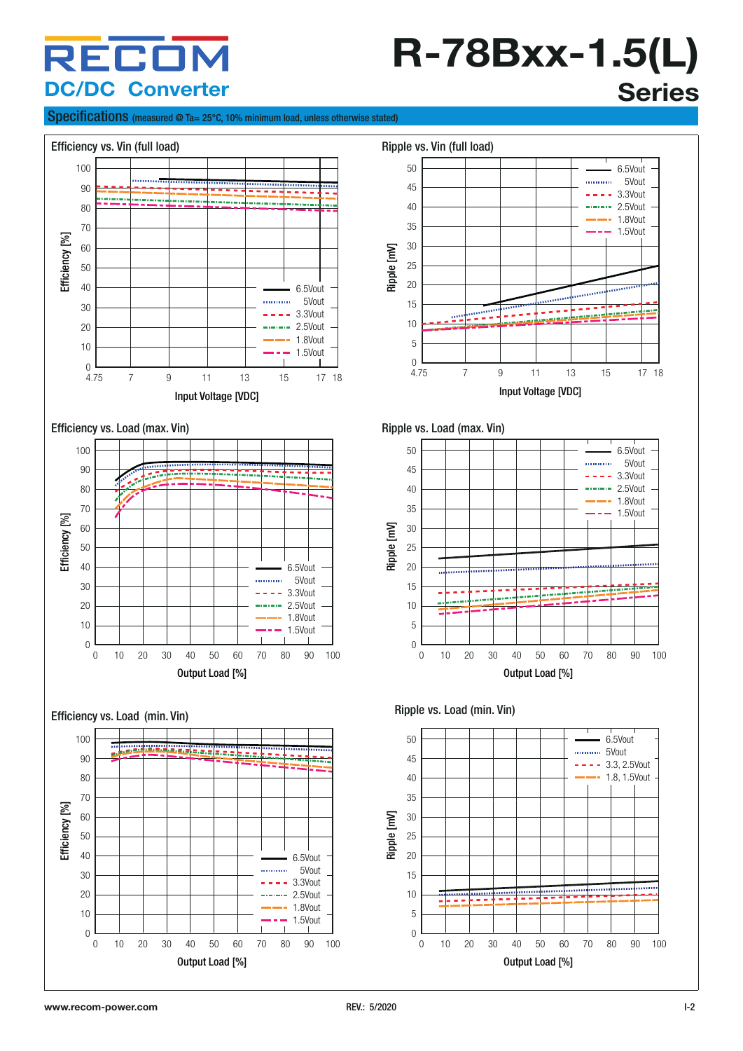### RECO **DC/DC Converter**

# **R-78Bxx-1.5(L) Series**

#### Specifications (measured @ Ta= 25°C, 10% minimum load, unless otherwise stated)

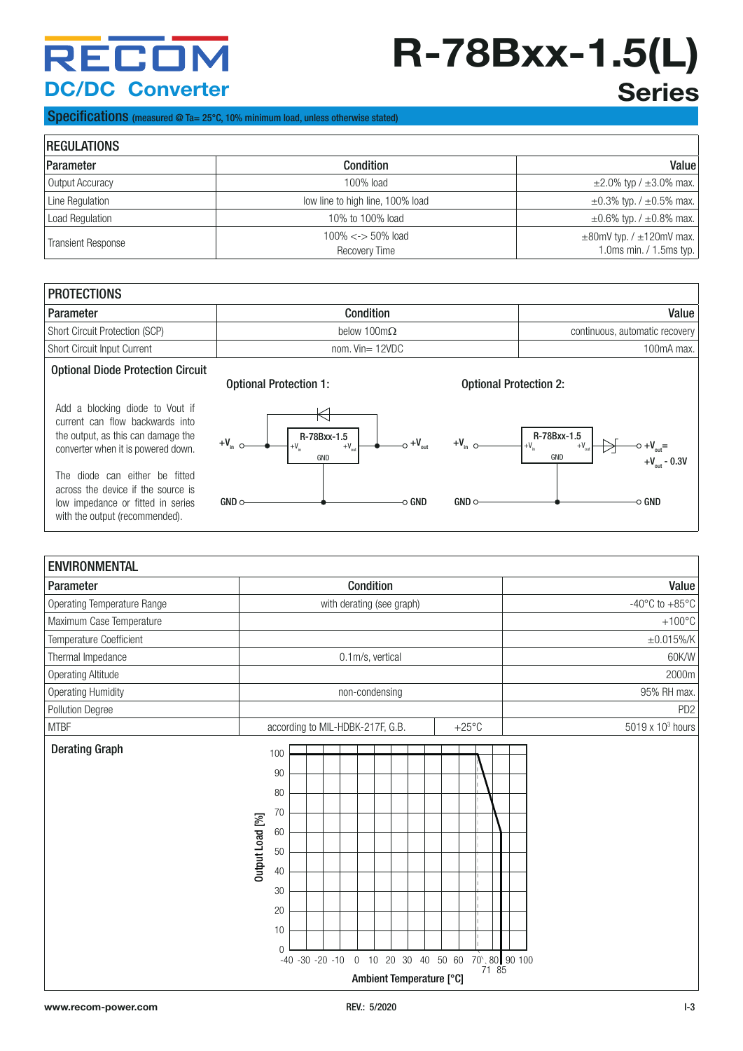### RECON **DC/DC Converter**

# **R-78Bxx-1.5(L) Series**

#### Specifications (measured @ Ta= 25°C, 10% minimum load, unless otherwise stated)

| <b>REGULATIONS</b>        |                                        |                                                               |  |  |
|---------------------------|----------------------------------------|---------------------------------------------------------------|--|--|
| Parameter                 | <b>Condition</b>                       | Value                                                         |  |  |
| Output Accuracy           | $100\%$ load                           | $\pm 2.0\%$ typ / $\pm 3.0\%$ max.                            |  |  |
| Line Regulation           | low line to high line, 100% load       | $\pm 0.3\%$ typ. / $\pm 0.5\%$ max.                           |  |  |
| <b>Load Regulation</b>    | 10% to 100% load                       | $\pm 0.6\%$ typ. / $\pm 0.8\%$ max.                           |  |  |
| <b>Transient Response</b> | $100\% < > 50\%$ load<br>Recovery Time | $\pm$ 80mV typ. / $\pm$ 120mV max.<br>1.0ms min. / 1.5ms typ. |  |  |

| <b>PROTECTIONS</b>                    |                     |                                |  |  |
|---------------------------------------|---------------------|--------------------------------|--|--|
| Parameter                             | <b>Condition</b>    | Value                          |  |  |
| <b>Short Circuit Protection (SCP)</b> | below 100m $\Omega$ | continuous, automatic recovery |  |  |
| <b>Short Circuit Input Current</b>    | nom. $Vin = 12VDC$  | 100mA max.                     |  |  |
|                                       |                     |                                |  |  |

#### Optional Diode Protection Circuit

Add a blocking diode to Vout if current can flow backwards into the output, as this can damage the converter when it is powered down.

The diode can either be fitted across the device if the source is low impedance or fitted in series with the output (recommended).



R-78Bxx-1.5

Optional Protection 1: Optional Protection 2:



| <b>ENVIRONMENTAL</b>        |                 |                                                                                                                                                                                          |                                      |
|-----------------------------|-----------------|------------------------------------------------------------------------------------------------------------------------------------------------------------------------------------------|--------------------------------------|
| Parameter                   |                 | Condition                                                                                                                                                                                | Value                                |
| Operating Temperature Range |                 | with derating (see graph)                                                                                                                                                                | -40 $^{\circ}$ C to +85 $^{\circ}$ C |
| Maximum Case Temperature    |                 |                                                                                                                                                                                          | $+100^{\circ}$ C                     |
| Temperature Coefficient     |                 |                                                                                                                                                                                          | $\pm 0.015\%$ /K                     |
| Thermal Impedance           |                 | 0.1m/s, vertical                                                                                                                                                                         | 60K/W                                |
| <b>Operating Altitude</b>   |                 |                                                                                                                                                                                          | 2000m                                |
| <b>Operating Humidity</b>   |                 | non-condensing                                                                                                                                                                           | 95% RH max.                          |
| Pollution Degree            |                 |                                                                                                                                                                                          | PD <sub>2</sub>                      |
| <b>MTBF</b>                 |                 | $+25^{\circ}$ C<br>according to MIL-HDBK-217F, G.B.                                                                                                                                      | 5019 x 10 <sup>3</sup> hours         |
| <b>Derating Graph</b>       | Output Load [%] | 100<br>90<br>80<br>70<br>60<br>50<br>40<br>30<br>20<br>10<br>$\Omega$<br>70 \ 80 90 100<br>10 20 30 40 50 60<br>$-40 -30 -20 -10$<br>$\overline{0}$<br>71 85<br>Ambient Temperature [°C] |                                      |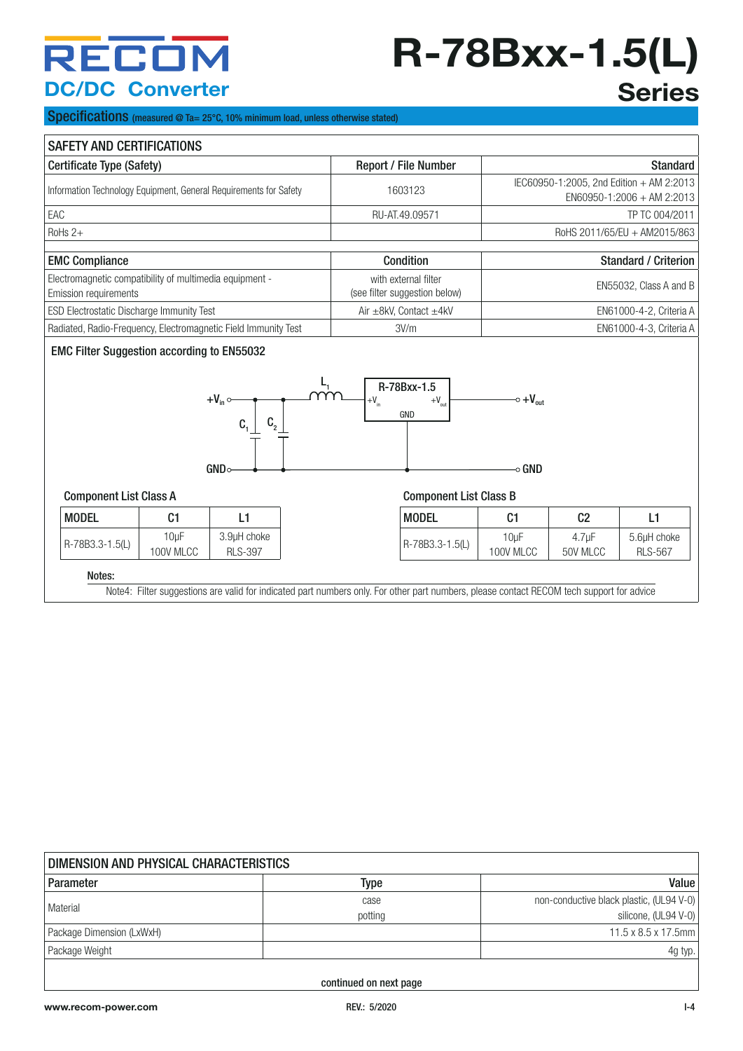### RECOM **DC/DC Converter**

# **R-78Bxx-1.5(L) Series**

Specifications (measured @ Ta= 25°C, 10% minimum load, unless otherwise stated)

| <b>SAFETY AND CERTIFICATIONS</b>                                                        |                        |                                                                |                                                       |                                            |                                                                          |                                |                               |
|-----------------------------------------------------------------------------------------|------------------------|----------------------------------------------------------------|-------------------------------------------------------|--------------------------------------------|--------------------------------------------------------------------------|--------------------------------|-------------------------------|
| Certificate Type (Safety)                                                               |                        |                                                                |                                                       | Report / File Number                       |                                                                          |                                | <b>Standard</b>               |
| Information Technology Equipment, General Requirements for Safety                       |                        |                                                                | 1603123                                               |                                            | IEC60950-1:2005, 2nd Edition + AM 2:2013<br>$EN60950-1:2006 + AM 2:2013$ |                                |                               |
| EAC                                                                                     |                        |                                                                |                                                       | RU-AT.49.09571                             |                                                                          |                                | TP TC 004/2011                |
| RoHs $2+$                                                                               |                        |                                                                |                                                       |                                            |                                                                          |                                | RoHS 2011/65/EU + AM2015/863  |
| <b>EMC Compliance</b>                                                                   |                        |                                                                |                                                       | Condition                                  |                                                                          |                                | <b>Standard / Criterion</b>   |
| Electromagnetic compatibility of multimedia equipment -<br><b>Emission requirements</b> |                        |                                                                | with external filter<br>(see filter suggestion below) |                                            | EN55032, Class A and B                                                   |                                |                               |
| ESD Electrostatic Discharge Immunity Test                                               |                        |                                                                |                                                       | Air ±8kV, Contact ±4kV                     |                                                                          | EN61000-4-2, Criteria A        |                               |
|                                                                                         |                        | Radiated, Radio-Frequency, Electromagnetic Field Immunity Test |                                                       | 3V/m                                       | EN61000-4-3, Criteria A                                                  |                                |                               |
| <b>EMC Filter Suggestion according to EN55032</b>                                       |                        | $+V_{in}$<br>$C_{2}$<br>C.<br>GNDC                             | $+V_{in}$                                             | R-78Bxx-1.5<br>$+{\rm V}_{\rm out}$<br>GND | $\sim +V_{\text{out}}$<br>⊸ GND                                          |                                |                               |
| <b>Component List Class A</b><br><b>Component List Class B</b>                          |                        |                                                                |                                                       |                                            |                                                                          |                                |                               |
| <b>MODEL</b>                                                                            | C <sub>1</sub>         | L1                                                             |                                                       | <b>MODEL</b>                               | C <sub>1</sub>                                                           | C <sub>2</sub>                 | L1                            |
| R-78B3.3-1.5(L)                                                                         | $10\mu F$<br>100V MLCC | 3.9µH choke<br><b>RLS-397</b>                                  |                                                       | R-78B3.3-1.5(L)                            | $10\mu F$<br>100V MLCC                                                   | 4.7 <sub>u</sub> F<br>50V MLCC | 5.6µH choke<br><b>RLS-567</b> |
| Notes:                                                                                  |                        |                                                                |                                                       |                                            |                                                                          |                                |                               |

Note4: Filter suggestions are valid for indicated part numbers only. For other part numbers, please contact RECOM tech support for advice

| DIMENSION AND PHYSICAL CHARACTERISTICS |                 |                                                                  |  |  |  |
|----------------------------------------|-----------------|------------------------------------------------------------------|--|--|--|
| Parameter                              | Type            | Value                                                            |  |  |  |
| Material                               | case<br>potting | non-conductive black plastic, (UL94 V-0)<br>silicone, (UL94 V-0) |  |  |  |
| Package Dimension (LxWxH)              |                 | $11.5 \times 8.5 \times 17.5$ mm                                 |  |  |  |
| Package Weight                         |                 | 4g typ.                                                          |  |  |  |
|                                        |                 |                                                                  |  |  |  |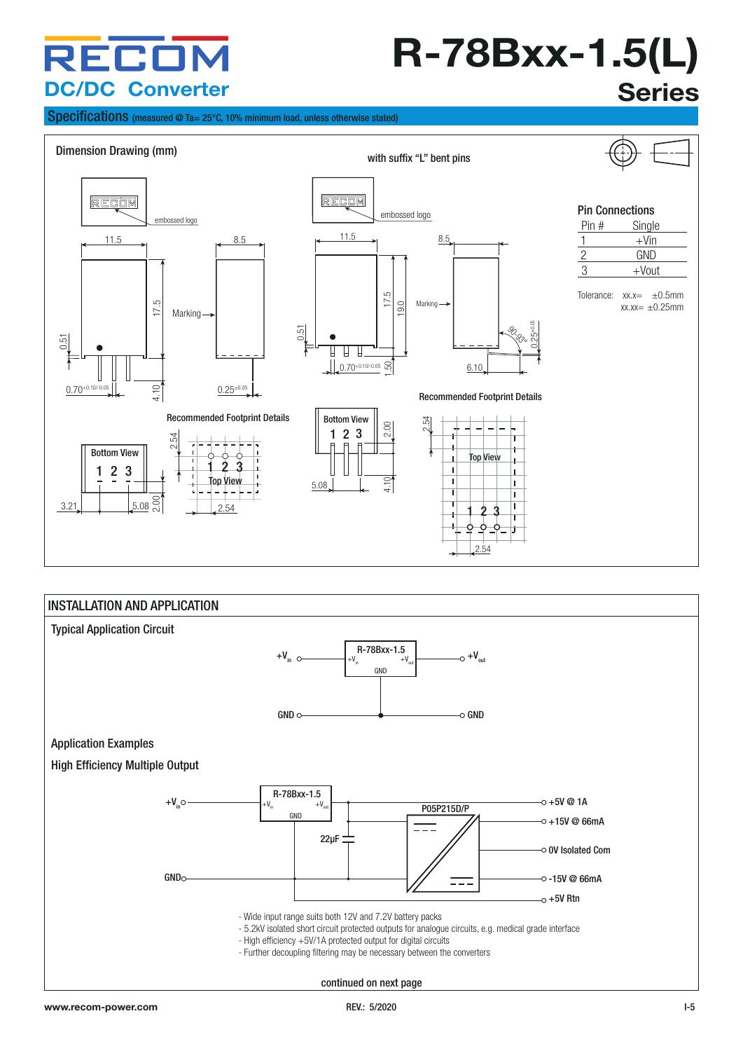### RECO **DC/DC Converter**

## **R-78Bxx-1.5(L) Series**

Specifications (measured @ Ta= 25°C, 10% minimum load, unless otherwise stated)